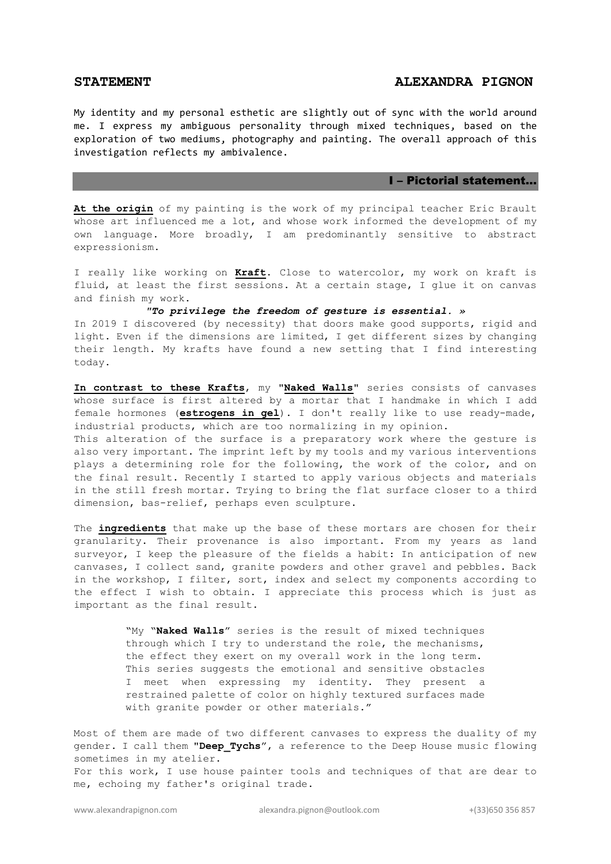## **STATEMENT ALEXANDRA PIGNON**

My identity and my personal esthetic are slightly out of sync with the world around me. I express my ambiguous personality through mixed techniques, based on the exploration of two mediums, photography and painting. The overall approach of this investigation reflects my ambivalence.

#### I – Pictorial statement…

**At the origin** of my painting is the work of my principal teacher Eric Brault whose art influenced me a lot, and whose work informed the development of my own language. More broadly, I am predominantly sensitive to abstract expressionism.

I really like working on **Kraft**. Close to watercolor, my work on kraft is fluid, at least the first sessions. At a certain stage, I glue it on canvas and finish my work.

*"To privilege the freedom of gesture is essential. »* In 2019 I discovered (by necessity) that doors make good supports, rigid and light. Even if the dimensions are limited, I get different sizes by changing their length. My krafts have found a new setting that I find interesting today.

**In contrast to these Krafts**, my "**Naked Walls**" series consists of canvases whose surface is first altered by a mortar that I handmake in which I add female hormones (**estrogens in gel**). I don't really like to use ready-made, industrial products, which are too normalizing in my opinion.

This alteration of the surface is a preparatory work where the gesture is also very important. The imprint left by my tools and my various interventions plays a determining role for the following, the work of the color, and on the final result. Recently I started to apply various objects and materials in the still fresh mortar. Trying to bring the flat surface closer to a third dimension, bas-relief, perhaps even sculpture.

The **ingredients** that make up the base of these mortars are chosen for their granularity. Their provenance is also important. From my years as land surveyor, I keep the pleasure of the fields a habit: In anticipation of new canvases, I collect sand, granite powders and other gravel and pebbles. Back in the workshop, I filter, sort, index and select my components according to the effect I wish to obtain. I appreciate this process which is just as important as the final result.

> "My "**Naked Walls**" series is the result of mixed techniques through which I try to understand the role, the mechanisms, the effect they exert on my overall work in the long term. This series suggests the emotional and sensitive obstacles I meet when expressing my identity. They present a restrained palette of color on highly textured surfaces made with granite powder or other materials."

Most of them are made of two different canvases to express the duality of my gender. I call them "**Deep\_Tychs**", a reference to the Deep House music flowing sometimes in my atelier.

For this work, I use house painter tools and techniques of that are dear to me, echoing my father's original trade.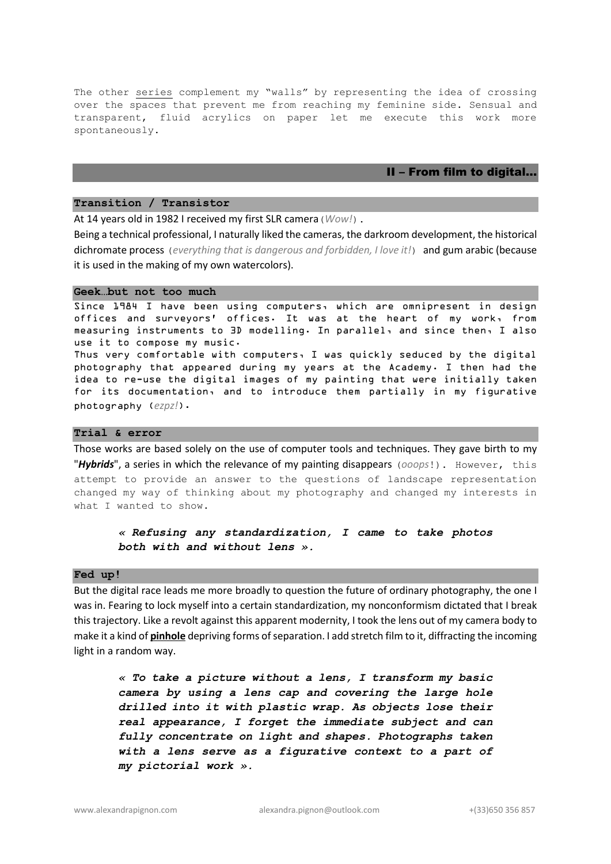The other series complement my "walls" by representing the idea of crossing over the spaces that prevent me from reaching my feminine side. Sensual and transparent, fluid acrylics on paper let me execute this work more spontaneously.

## II – From film to digital…

#### **Transition / Transistor**

At 14 years old in 1982 I received my first SLR camera(*Wow!*).

Being a technical professional, I naturally liked the cameras, the darkroom development, the historical dichromate process (*everything that is dangerous and forbidden, I love it!*) and gum arabic (because it is used in the making of my own watercolors).

## **Geek…but not too much**

Since 1984 I have been using computers, which are omnipresent in design offices and surveyors' offices. It was at the heart of my work, from measuring instruments to 3D modelling. In parallel, and since then, I also use it to compose my music.

Thus very comfortable with computers, I was quickly seduced by the digital photography that appeared during my years at the Academy. I then had the idea to re-use the digital images of my painting that were initially taken for its documentation, and to introduce them partially in my figurative photography (*ezpz!*).

## **Trial & error**

Those works are based solely on the use of computer tools and techniques. They gave birth to my "*Hybrids*", a series in which the relevance of my painting disappears (*ooops*!). However, this attempt to provide an answer to the questions of landscape representation changed my way of thinking about my photography and changed my interests in what I wanted to show.

# *« Refusing any standardization, I came to take photos both with and without lens ».*

#### **Fed up!**

But the digital race leads me more broadly to question the future of ordinary photography, the one I was in. Fearing to lock myself into a certain standardization, my nonconformism dictated that I break this trajectory. Like a revolt against this apparent modernity, I took the lens out of my camera body to make it a kind of **pinhole** depriving forms of separation. I add stretch film to it, diffracting the incoming light in a random way.

*« To take a picture without a lens, I transform my basic camera by using a lens cap and covering the large hole drilled into it with plastic wrap. As objects lose their real appearance, I forget the immediate subject and can fully concentrate on light and shapes. Photographs taken with a lens serve as a figurative context to a part of my pictorial work ».*